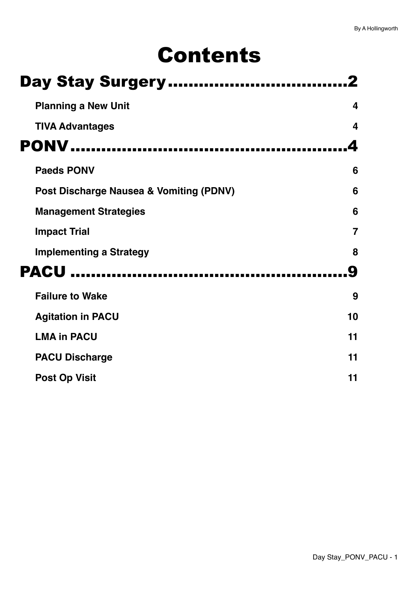# Contents

| <b>Day Stay Surgery</b>                 |                |
|-----------------------------------------|----------------|
| <b>Planning a New Unit</b>              | 4              |
| <b>TIVA Advantages</b>                  | 4              |
| <b>PONV</b>                             |                |
| <b>Paeds PONV</b>                       | 6              |
| Post Discharge Nausea & Vomiting (PDNV) | 6              |
| <b>Management Strategies</b>            | 6              |
| <b>Impact Trial</b>                     | $\overline{7}$ |
| <b>Implementing a Strategy</b>          | 8              |
| <b>PACU </b>                            |                |
| <b>Failure to Wake</b>                  | 9              |
| <b>Agitation in PACU</b>                | 10             |
| <b>LMA in PACU</b>                      | 11             |
| <b>PACU Discharge</b>                   | 11             |
| <b>Post Op Visit</b>                    | 11             |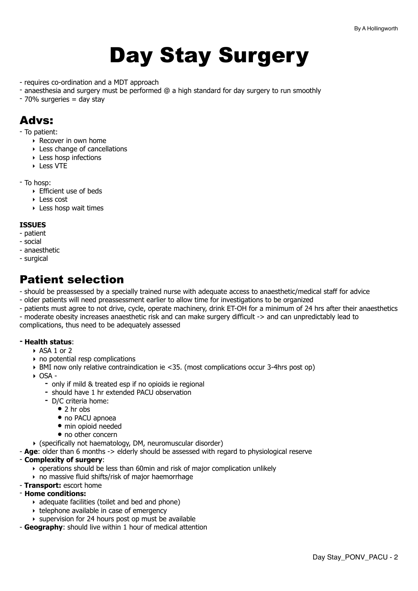# <span id="page-1-0"></span>Day Stay Surgery

- requires co-ordination and a MDT approach
- anaesthesia and surgery must be performed @ a high standard for day surgery to run smoothly
- 70% surgeries = day stay

### Advs:

- To patient:
	- ‣ Recover in own home
	- ‣ Less change of cancellations
	- ‣ Less hosp infections
	- ‣ Less VTE
- To hosp:
	- ‣ Efficient use of beds
	- ‣ Less cost
	- ‣ Less hosp wait times

#### **ISSUES**

- patient
- social
- anaesthetic
- surgical

### Patient selection

- should be preassessed by a specially trained nurse with adequate access to anaesthetic/medical staff for advice

- older patients will need preassessment earlier to allow time for investigations to be organized
- patients must agree to not drive, cycle, operate machinery, drink ET-OH for a minimum of 24 hrs after their anaesthetics

- moderate obesity increases anaesthetic risk and can make surgery difficult -> and can unpredictably lead to complications, thus need to be adequately assessed

#### **- Health status**:

- **‣** ASA 1 or 2
- **‣** no potential resp complications
- **‣** BMI now only relative contraindication ie <35. (most complications occur 3-4hrs post op)
- **‣** OSA
	- **-** only if mild & treated esp if no opioids ie regional
	- **-** should have 1 hr extended PACU observation
	- **-** D/C criteria home:
		- **•** 2 hr obs
		- **•** no PACU apnoea
		- **•** min opioid needed
		- **•** no other concern
- **‣** (specifically not haematology, DM, neuromuscular disorder)
- **Age**: older than 6 months -> elderly should be assessed with regard to physiological reserve

#### - **Complexity of surgery**:

- ‣ operations should be less than 60min and risk of major complication unlikely
- ‣ no massive fluid shifts/risk of major haemorrhage
- **Transport:** escort home

#### - **Home conditions:**

- ‣ adequate facilities (toilet and bed and phone)
- ‣ telephone available in case of emergency
- ‣ supervision for 24 hours post op must be available
- **Geography**: should live within 1 hour of medical attention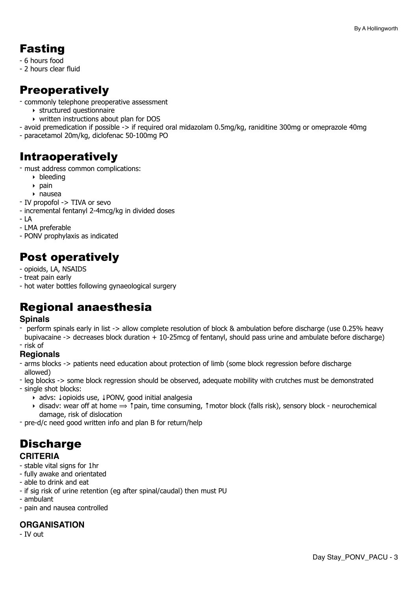### Fasting

- 6 hours food
- 2 hours clear fluid

### Preoperatively

- commonly telephone preoperative assessment
	- ‣ structured questionnaire
	- ‣ written instructions about plan for DOS
- avoid premedication if possible -> if required oral midazolam 0.5mg/kg, raniditine 300mg or omeprazole 40mg
- paracetamol 20m/kg, diclofenac 50-100mg PO

### Intraoperatively

- must address common complications:
	- ‣ bleeding
	- $\rightarrow$  pain
	- ‣ nausea
- IV propofol -> TIVA or sevo
- incremental fentanyl 2-4mcg/kg in divided doses
- LA
- LMA preferable
- PONV prophylaxis as indicated

### Post operatively

- opioids, LA, NSAIDS
- treat pain early
- hot water bottles following gynaeological surgery

### Regional anaesthesia

### **Spinals**

- perform spinals early in list -> allow complete resolution of block & ambulation before discharge (use 0.25% heavy bupivacaine -> decreases block duration + 10-25mcg of fentanyl, should pass urine and ambulate before discharge) - risk of

### **Regionals**

- arms blocks -> patients need education about protection of limb (some block regression before discharge allowed)
- leg blocks -> some block regression should be observed, adequate mobility with crutches must be demonstrated
- single shot blocks:
	- ‣ advs: ↓opioids use, ↓PONV, good initial analgesia
	- ‣ disadv: wear off at home ⟹ ↑pain, time consuming, ↑motor block (falls risk), sensory block neurochemical damage, risk of dislocation
- pre-d/c need good written info and plan B for return/help

### **Discharge CRITERIA**

- stable vital signs for 1hr
- fully awake and orientated
- able to drink and eat
- if sig risk of urine retention (eg after spinal/caudal) then must PU
- ambulant
- pain and nausea controlled

### **ORGANISATION**

- IV out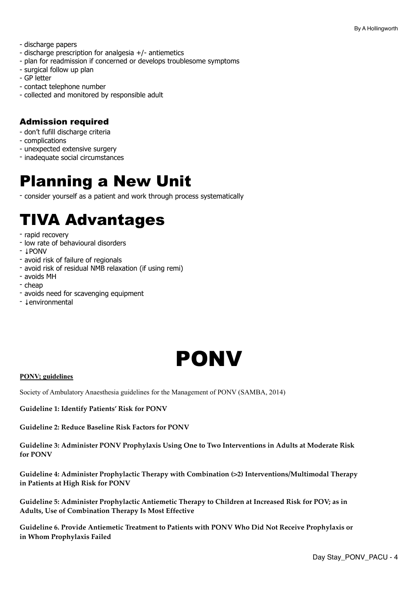- discharge papers
- discharge prescription for analgesia +/- antiemetics
- plan for readmission if concerned or develops troublesome symptoms
- surgical follow up plan
- GP letter
- contact telephone number
- collected and monitored by responsible adult

### Admission required

- don't fufill discharge criteria
- complications
- unexpected extensive surgery
- inadequate social circumstances

## <span id="page-3-0"></span>Planning a New Unit

- consider yourself as a patient and work through process systematically

## <span id="page-3-1"></span>TIVA Advantages

- rapid recovery
- low rate of behavioural disorders
- ↓PONV
- avoid risk of failure of regionals
- avoid risk of residual NMB relaxation (if using remi)
- avoids MH
- cheap
- avoids need for scavenging equipment
- ↓environmental

<span id="page-3-2"></span>

#### **PONV; guidelines**

Society of Ambulatory Anaesthesia guidelines for the Management of PONV (SAMBA, 2014)

**Guideline 1: Identify Patients' Risk for PONV**

**Guideline 2: Reduce Baseline Risk Factors for PONV**

**Guideline 3: Administer PONV Prophylaxis Using One to Two Interventions in Adults at Moderate Risk for PONV**

**Guideline 4: Administer Prophylactic Therapy with Combination (**>**2) Interventions/Multimodal Therapy in Patients at High Risk for PONV**

**Guideline 5: Administer Prophylactic Antiemetic Therapy to Children at Increased Risk for POV; as in Adults, Use of Combination Therapy Is Most Effective**

**Guideline 6. Provide Antiemetic Treatment to Patients with PONV Who Did Not Receive Prophylaxis or in Whom Prophylaxis Failed**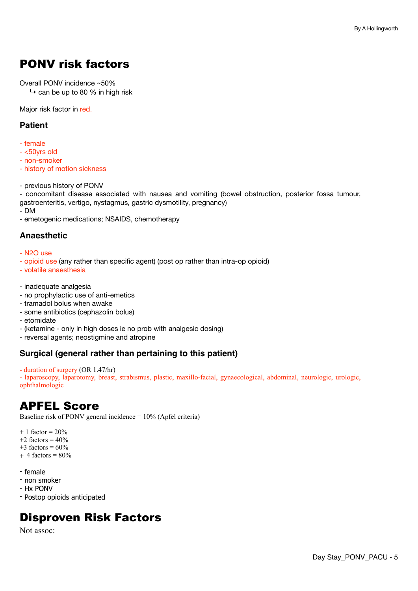### PONV risk factors

Overall PONV incidence ~50%

 $\rightarrow$  can be up to 80 % in high risk

Major risk factor in red.

### **Patient**

- female
- <50yrs old
- non-smoker
- history of motion sickness
- previous history of PONV

- concomitant disease associated with nausea and vomiting (bowel obstruction, posterior fossa tumour, gastroenteritis, vertigo, nystagmus, gastric dysmotility, pregnancy)

- DM

- emetogenic medications; NSAIDS, chemotherapy

### **Anaesthetic**

- N2O use
- opioid use (any rather than specific agent) (post op rather than intra-op opioid)
- volatile anaesthesia
- inadequate analgesia
- no prophylactic use of anti-emetics
- tramadol bolus when awake
- some antibiotics (cephazolin bolus)
- etomidate
- (ketamine only in high doses ie no prob with analgesic dosing)
- reversal agents; neostigmine and atropine

### **Surgical (general rather than pertaining to this patient)**

- duration of surgery (OR 1.47/hr)

- laparoscopy, laparotomy, breast, strabismus, plastic, maxillo-facial, gynaecological, abdominal, neurologic, urologic, ophthalmologic

### APFEL Score

Baseline risk of PONV general incidence  $= 10\%$  (Apfel criteria)

 $+ 1$  factor = 20%  $+2$  factors =  $40%$ 

- $+3$  factors = 60%
- $+ 4$  factors = 80%
- female
- non smoker
- Hx PONV
- Postop opioids anticipated

### Disproven Risk Factors

Not assoc: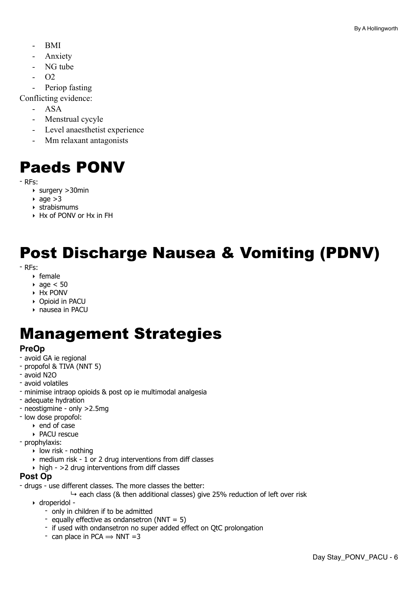- BMI
- Anxiety
- NG tube
- $O<sub>2</sub>$
- Periop fasting

Conflicting evidence:

- ASA
- Menstrual cycyle
- Level anaesthetist experience
- Mm relaxant antagonists

## <span id="page-5-0"></span>Paeds PONV

- RFs:

- ‣ surgery >30min
- age  $>3$
- ‣ strabismums
- ‣ Hx of PONV or Hx in FH

## <span id="page-5-1"></span>Post Discharge Nausea & Vomiting (PDNV)

- RFs:

- ‣ female
- $\rightarrow$  age  $<$  50
- ‣ Hx PONV
- ‣ Opioid in PACU
- ‣ nausea in PACU

## <span id="page-5-2"></span>Management Strategies

### **PreOp**

- avoid GA ie regional
- propofol & TIVA (NNT 5)
- avoid N2O
- avoid volatiles
- minimise intraop opioids & post op ie multimodal analgesia
- adequate hydration
- neostigmine only >2.5mg
- low dose propofol:
	- ‣ end of case
	- ‣ PACU rescue

- prophylaxis:

- ‣ low risk nothing
- ‣ medium risk 1 or 2 drug interventions from diff classes
- $\rightarrow$  high >2 drug interventions from diff classes

### **Post Op**

- drugs use different classes. The more classes the better:
	- $\rightarrow$  each class (& then additional classes) give 25% reduction of left over risk
	- ‣ droperidol
		- only in children if to be admitted
		- equally effective as ondansetron  $(NNT = 5)$
		- if used with ondansetron no super added effect on QtC prolongation
		- can place in PCA  $\Rightarrow$  NNT =3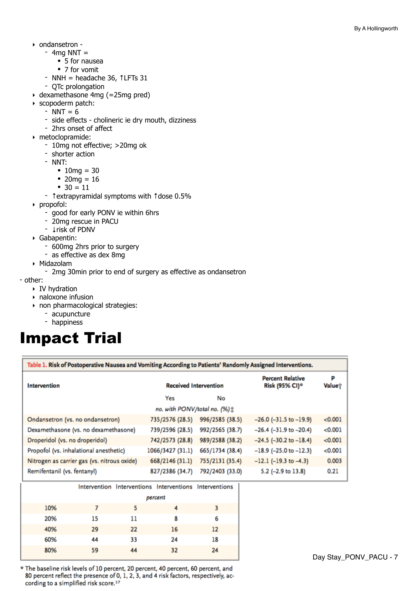- ‣ ondansetron
	- $-$  4mg NNT  $=$ 
		- 5 for nausea
		- 7 for vomit
	- NNH = headache 36, ↑LFTs 31
	- QTc prolongation
- ‣ dexamethasone 4mg (=25mg pred)
- ‣ scopoderm patch:
	- $-$  NNT  $= 6$
	- side effects cholineric ie dry mouth, dizziness
	- 2hrs onset of affect
- ‣ metoclopramide:
	- 10mg not effective; >20mg ok
	- shorter action
	- NNT:
		- $10mg = 30$
		- 20mg =  $16$
		- $30 = 11$
	- ↑extrapyramidal symptoms with ↑dose 0.5%
- ‣ propofol:
	- good for early PONV ie within 6hrs
	- 20mg rescue in PACU
	- ↓risk of PDNV
- ‣ Gabapentin:
	- 600mg 2hrs prior to surgery
	- as effective as dex 8mg
- ‣ Midazolam
	- 2mg 30min prior to end of surgery as effective as ondansetron

#### - other:

- ‣ IV hydration
- ‣ naloxone infusion
- ‣ non pharmacological strategies:
	- acupuncture
	- happiness

## <span id="page-6-0"></span>Impact Trial

| Table 1. Risk of Postoperative Nausea and Vomiting According to Patients' Randomly Assigned Interventions. |                              |                 |                                           |             |  |
|------------------------------------------------------------------------------------------------------------|------------------------------|-----------------|-------------------------------------------|-------------|--|
| Intervention                                                                                               | <b>Received Intervention</b> |                 | <b>Percent Relative</b><br>Risk (95% CI)* | p<br>Valuet |  |
|                                                                                                            | Yes                          | No              |                                           |             |  |
| no. with PONV/total no. $(%)\ddagger$                                                                      |                              |                 |                                           |             |  |
| Ondansetron (vs. no ondansetron)                                                                           | 735/2576 (28.5)              | 996/2585 (38.5) | $-26.0$ ( $-31.5$ to $-19.9$ )            | < 0.001     |  |
| Dexamethasone (vs. no dexamethasone)                                                                       | 739/2596 (28.5)              | 992/2565 (38.7) | $-26.4$ ( $-31.9$ to $-20.4$ )            | < 0.001     |  |
| Droperidol (vs. no droperidol)                                                                             | 742/2573 (28.8)              | 989/2588 (38.2) | $-24.5$ ( $-30.2$ to $-18.4$ )            | < 0.001     |  |
| Propofol (vs. inhalational anesthetic)                                                                     | 1066/3427 (31.1)             | 665/1734 (38.4) | $-18.9$ (-25.0 to $-12.3$ )               | < 0.001     |  |
| Nitrogen as carrier gas (vs. nitrous oxide)                                                                | 668/2146 (31.1)              | 755/2131 (35.4) | $-12.1$ (-19.3 to -4.3)                   | 0.003       |  |
| Remifentanil (vs. fentanyl)                                                                                | 827/2386 (34.7)              | 792/2403 (33.0) | 5.2 (-2.9 to 13.8)                        | 0.21        |  |

|     |         |    | Intervention Interventions Interventions Interventions |    |
|-----|---------|----|--------------------------------------------------------|----|
|     | percent |    |                                                        |    |
| 10% |         |    |                                                        |    |
| 20% | 15      | 11 | 8                                                      | 6  |
| 40% | 29      | 22 | 16                                                     | 12 |
| 60% | 44      | 33 | 24                                                     | 18 |
| 80% | 59      | 44 | 32                                                     | 24 |

\* The baseline risk levels of 10 percent, 20 percent, 40 percent, 60 percent, and 80 percent reflect the presence of 0, 1, 2, 3, and 4 risk factors, respectively, according to a simplified risk score.<sup>17</sup>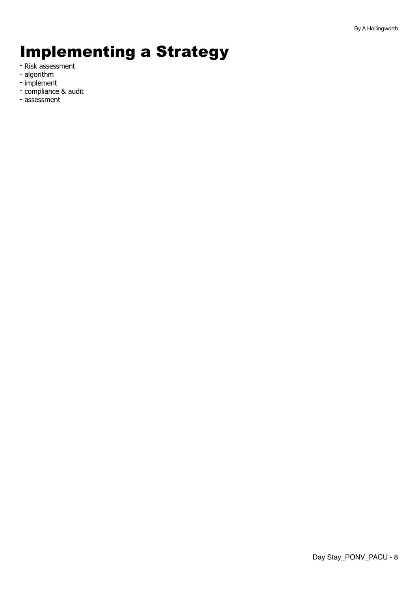## <span id="page-7-0"></span>Implementing a Strategy

- Risk assessment
- algorithm
- implement
- compliance & audit
- assessment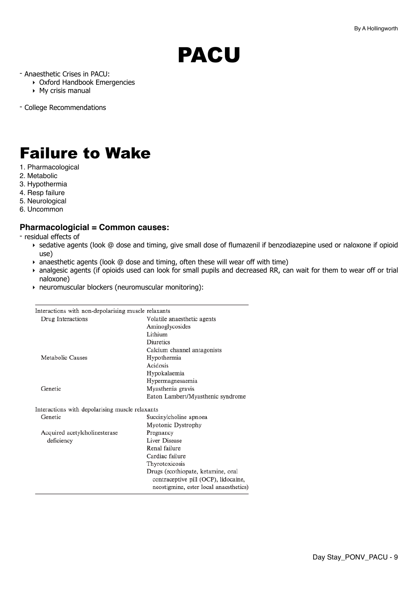# <span id="page-8-0"></span>PACU

- Anaesthetic Crises in PACU:
	- ‣ Oxford Handbook Emergencies
	- ‣ My crisis manual
- College Recommendations

## <span id="page-8-1"></span>Failure to Wake

- 1. Pharmacological
- 2. Metabolic
- 3. Hypothermia
- 4. Resp failure
- 5. Neurological
- 6. Uncommon

### **Pharmacologicial = Common causes:**

- residual effects of

- ‣ sedative agents (look @ dose and timing, give small dose of flumazenil if benzodiazepine used or naloxone if opioid use)
- ‣ anaesthetic agents (look @ dose and timing, often these will wear off with time)
- ‣ analgesic agents (if opioids used can look for small pupils and decreased RR, can wait for them to wear off or trial naloxone)
- ‣ neuromuscular blockers (neuromuscular monitoring):

| Interactions with non-depolarising muscle relaxants |                                        |
|-----------------------------------------------------|----------------------------------------|
| Drug Interactions                                   | Volatile anaesthetic agents            |
|                                                     | Aminoglycosides                        |
|                                                     | Lithium                                |
|                                                     | <b>Diuretics</b>                       |
|                                                     | Calcium channel antagonists            |
| Metabolic Causes                                    | Hypothermia                            |
|                                                     | Acidosis                               |
|                                                     | Hypokalaemia                           |
|                                                     | Hypermagnesaemia                       |
| Genetic                                             | Myasthenia gravis                      |
|                                                     | Eaton Lambert/Myasthenic syndrome      |
| Interactions with depolarising muscle relaxants     |                                        |
| Genetic                                             | Succinylcholine apnoea                 |
|                                                     | Myotonic Dystrophy                     |
| Acquired acetylcholinesterase                       | Pregnancy                              |
| deficiency                                          | Liver Disease                          |
|                                                     | Renal failure                          |
|                                                     | Cardiac failure                        |
|                                                     | Thyrotoxicosis                         |
|                                                     | Drugs (ecothiopate, ketamine, oral     |
|                                                     | contraceptive pill (OCP), lidocaine,   |
|                                                     | neostigmine, ester local anaesthetics) |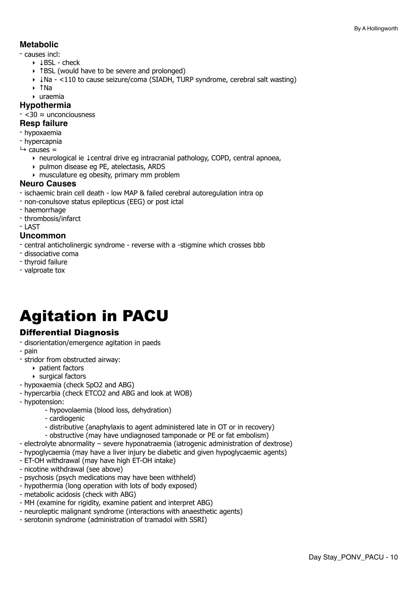### **Metabolic**

- causes incl:
	- ‣ ↓BSL check
	- ‣ ↑BSL (would have to be severe and prolonged)
	- ‣ ↓Na <110 to cause seizure/coma (SIADH, TURP syndrome, cerebral salt wasting)
	- ‣ ↑Na
	- ‣ uraemia

### **Hypothermia**

- <30 ≈ unconciousness

#### **Resp failure**

- hypoxaemia
- hypercapnia
- $ightharpoonup$  causes =
	- ‣ neurological ie ↓central drive eg intracranial pathology, COPD, central apnoea,
	- ‣ pulmon disease eg PE, atelectasis, ARDS
	- ‣ musculature eg obesity, primary mm problem

#### **Neuro Causes**

- ischaemic brain cell death low MAP & failed cerebral autoregulation intra op
- non-conulsove status epilepticus (EEG) or post ictal
- haemorrhage
- thrombosis/infarct
- LAST

### **Uncommon**

- central anticholinergic syndrome reverse with a -stigmine which crosses bbb
- dissociative coma
- thyroid failure
- valproate tox

## <span id="page-9-0"></span>Agitation in PACU

### Differential Diagnosis

- disorientation/emergence agitation in paeds
- pain
- stridor from obstructed airway:
	- ‣ patient factors
	- ‣ surgical factors
- hypoxaemia (check SpO2 and ABG)
- hypercarbia (check ETCO2 and ABG and look at WOB)
- hypotension:
	- hypovolaemia (blood loss, dehydration)
	- cardiogenic
	- distributive (anaphylaxis to agent administered late in OT or in recovery)
	- obstructive (may have undiagnosed tamponade or PE or fat embolism)
- electrolyte abnormality severe hyponatraemia (iatrogenic administration of dextrose)
- hypoglycaemia (may have a liver injury be diabetic and given hypoglycaemic agents)
- ET-OH withdrawal (may have high ET-OH intake)
- nicotine withdrawal (see above)
- psychosis (psych medications may have been withheld)
- hypothermia (long operation with lots of body exposed)
- metabolic acidosis (check with ABG)
- MH (examine for rigidity, examine patient and interpret ABG)
- neuroleptic malignant syndrome (interactions with anaesthetic agents)
- serotonin syndrome (administration of tramadol with SSRI)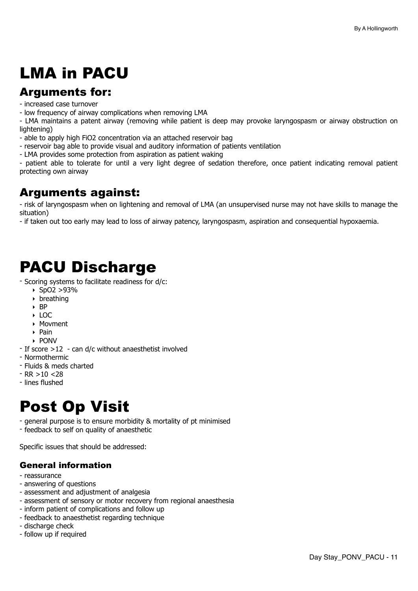## <span id="page-10-0"></span>LMA in PACU

### Arguments for:

- increased case turnover

- low frequency of airway complications when removing LMA

- LMA maintains a patent airway (removing while patient is deep may provoke laryngospasm or airway obstruction on lightening)

- able to apply high FiO2 concentration via an attached reservoir bag
- reservoir bag able to provide visual and auditory information of patients ventilation
- LMA provides some protection from aspiration as patient waking

- patient able to tolerate for until a very light degree of sedation therefore, once patient indicating removal patient protecting own airway

### Arguments against:

- risk of laryngospasm when on lightening and removal of LMA (an unsupervised nurse may not have skills to manage the situation)

- if taken out too early may lead to loss of airway patency, laryngospasm, aspiration and consequential hypoxaemia.

## <span id="page-10-1"></span>PACU Discharge

- Scoring systems to facilitate readiness for d/c:
	- ‣ SpO2 >93%
	- ‣ breathing
	- ‣ BP
	- ‣ LOC
	- ‣ Movment
	- ‣ Pain
	- ‣ PONV
- If score >12 can d/c without anaesthetist involved
- Normothermic
- Fluids & meds charted
- $-RR > 10 < 28$
- lines flushed

## <span id="page-10-2"></span>Post Op Visit

- general purpose is to ensure morbidity & mortality of pt minimised
- feedback to self on quality of anaesthetic

Specific issues that should be addressed:

### General information

- reassurance
- answering of questions
- assessment and adjustment of analgesia
- assessment of sensory or motor recovery from regional anaesthesia
- inform patient of complications and follow up
- feedback to anaesthetist regarding technique
- discharge check
- follow up if required